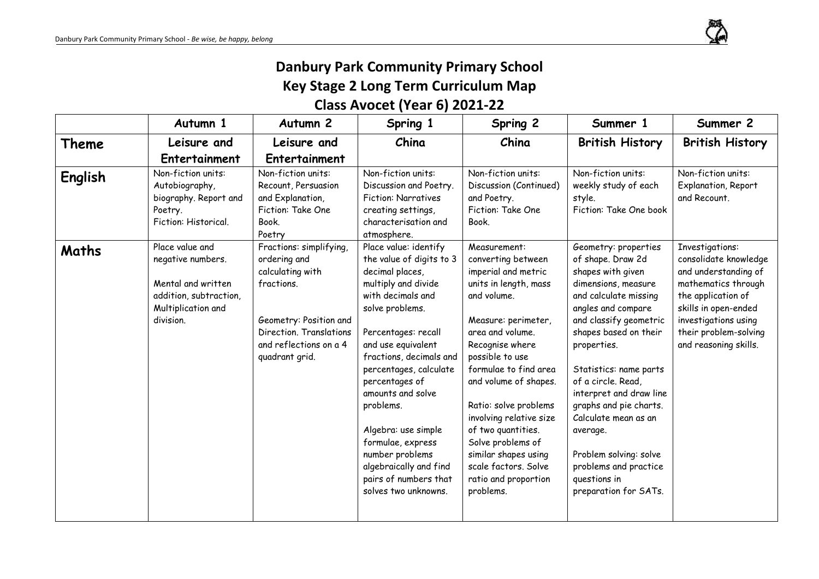## **Danbury Park Community Primary School Key Stage 2 Long Term Curriculum Map Class Avocet (Year 6) 2021-22**

|         | Autumn 1                                                                                                                | Autumn <sub>2</sub>                                                                                                                                                        | Spring 1                                                                                                                                                                                                                                                                                                                                                                                                                            | Spring 2                                                                                                                                                                                                                                                                                                                                                                                                                 | Summer 1                                                                                                                                                                                                                                                                                                                                                                                                                                    | Summer 2                                                                                                                                                                                                        |
|---------|-------------------------------------------------------------------------------------------------------------------------|----------------------------------------------------------------------------------------------------------------------------------------------------------------------------|-------------------------------------------------------------------------------------------------------------------------------------------------------------------------------------------------------------------------------------------------------------------------------------------------------------------------------------------------------------------------------------------------------------------------------------|--------------------------------------------------------------------------------------------------------------------------------------------------------------------------------------------------------------------------------------------------------------------------------------------------------------------------------------------------------------------------------------------------------------------------|---------------------------------------------------------------------------------------------------------------------------------------------------------------------------------------------------------------------------------------------------------------------------------------------------------------------------------------------------------------------------------------------------------------------------------------------|-----------------------------------------------------------------------------------------------------------------------------------------------------------------------------------------------------------------|
| Theme   | Leisure and<br>Entertainment                                                                                            | Leisure and<br>Entertainment                                                                                                                                               | China                                                                                                                                                                                                                                                                                                                                                                                                                               | China                                                                                                                                                                                                                                                                                                                                                                                                                    | <b>British History</b>                                                                                                                                                                                                                                                                                                                                                                                                                      | <b>British History</b>                                                                                                                                                                                          |
| English | Non-fiction units:<br>Autobiography,<br>biography. Report and<br>Poetry.<br>Fiction: Historical.                        | Non-fiction units:<br>Recount, Persuasion<br>and Explanation,<br>Fiction: Take One<br>Book.<br>Poetry                                                                      | Non-fiction units:<br>Discussion and Poetry.<br><b>Fiction: Narratives</b><br>creating settings,<br>characterisation and<br>atmosphere.                                                                                                                                                                                                                                                                                             | Non-fiction units:<br>Discussion (Continued)<br>and Poetry.<br>Fiction: Take One<br>Book.                                                                                                                                                                                                                                                                                                                                | Non-fiction units:<br>weekly study of each<br>style.<br>Fiction: Take One book                                                                                                                                                                                                                                                                                                                                                              | Non-fiction units:<br>Explanation, Report<br>and Recount.                                                                                                                                                       |
| Maths   | Place value and<br>negative numbers.<br>Mental and written<br>addition, subtraction,<br>Multiplication and<br>division. | Fractions: simplifying,<br>ordering and<br>calculating with<br>fractions.<br>Geometry: Position and<br>Direction, Translations<br>and reflections on a 4<br>quadrant grid. | Place value: identify<br>the value of digits to 3<br>decimal places,<br>multiply and divide<br>with decimals and<br>solve problems.<br>Percentages: recall<br>and use equivalent<br>fractions, decimals and<br>percentages, calculate<br>percentages of<br>amounts and solve<br>problems.<br>Algebra: use simple<br>formulae, express<br>number problems<br>algebraically and find<br>pairs of numbers that<br>solves two unknowns. | Measurement:<br>converting between<br>imperial and metric<br>units in length, mass<br>and volume.<br>Measure: perimeter,<br>area and volume.<br>Recognise where<br>possible to use<br>formulae to find area<br>and volume of shapes.<br>Ratio: solve problems<br>involving relative size<br>of two quantities.<br>Solve problems of<br>similar shapes using<br>scale factors. Solve<br>ratio and proportion<br>problems. | Geometry: properties<br>of shape. Draw 2d<br>shapes with given<br>dimensions, measure<br>and calculate missing<br>angles and compare<br>and classify geometric<br>shapes based on their<br>properties.<br>Statistics: name parts<br>of a circle. Read,<br>interpret and draw line<br>graphs and pie charts.<br>Calculate mean as an<br>average.<br>Problem solving: solve<br>problems and practice<br>questions in<br>preparation for SATs. | Investigations:<br>consolidate knowledge<br>and understanding of<br>mathematics through<br>the application of<br>skills in open-ended<br>investigations using<br>their problem-solving<br>and reasoning skills. |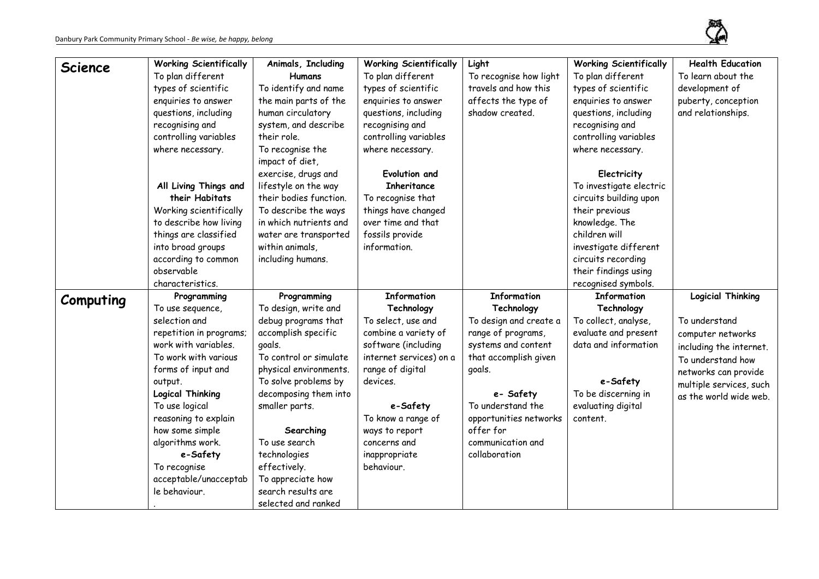

| <b>Science</b> | <b>Working Scientifically</b> | Animals, Including                        | <b>Working Scientifically</b> | Light                  | <b>Working Scientifically</b> | <b>Health Education</b>  |
|----------------|-------------------------------|-------------------------------------------|-------------------------------|------------------------|-------------------------------|--------------------------|
|                | To plan different             | <b>Humans</b>                             | To plan different             | To recognise how light | To plan different             | To learn about the       |
|                | types of scientific           | To identify and name                      | types of scientific           | travels and how this   | types of scientific           | development of           |
|                | enquiries to answer           | the main parts of the                     | enquiries to answer           | affects the type of    | enquiries to answer           | puberty, conception      |
|                | questions, including          | human circulatory                         | questions, including          | shadow created.        | questions, including          | and relationships.       |
|                | recognising and               | system, and describe                      | recognising and               |                        | recognising and               |                          |
|                | controlling variables         | their role.                               | controlling variables         |                        | controlling variables         |                          |
|                | where necessary.              | To recognise the                          | where necessary.              |                        | where necessary.              |                          |
|                |                               | impact of diet,                           |                               |                        |                               |                          |
|                |                               | exercise, drugs and                       | Evolution and                 |                        | Electricity                   |                          |
|                | All Living Things and         | lifestyle on the way                      | <b>Inheritance</b>            |                        | To investigate electric       |                          |
|                | their Habitats                | their bodies function.                    | To recognise that             |                        | circuits building upon        |                          |
|                | Working scientifically        | To describe the ways                      | things have changed           |                        | their previous                |                          |
|                | to describe how living        | in which nutrients and                    | over time and that            |                        | knowledge. The                |                          |
|                | things are classified         | water are transported                     | fossils provide               |                        | children will                 |                          |
|                | into broad groups             | within animals,                           | information.                  |                        | investigate different         |                          |
|                | according to common           | including humans.                         |                               |                        | circuits recording            |                          |
|                | observable                    |                                           |                               |                        | their findings using          |                          |
|                | characteristics.              |                                           |                               |                        | recognised symbols.           |                          |
| Computing      | Programming                   | Programming                               | <b>Information</b>            | <b>Information</b>     | <b>Information</b>            | <b>Logicial Thinking</b> |
|                | To use sequence,              | To design, write and                      | Technology                    | Technology             | Technology                    |                          |
|                | selection and                 | debug programs that                       | To select, use and            | To design and create a | To collect, analyse,          | To understand            |
|                | repetition in programs;       | accomplish specific                       | combine a variety of          | range of programs,     | evaluate and present          | computer networks        |
|                | work with variables.          | goals.                                    | software (including           | systems and content    | data and information          | including the internet.  |
|                | To work with various          | To control or simulate                    | internet services) on a       | that accomplish given  |                               | To understand how        |
|                | forms of input and            | physical environments.                    | range of digital              | goals.                 |                               | networks can provide     |
|                | output.                       | To solve problems by                      | devices.                      |                        | e-Safety                      | multiple services, such  |
|                | <b>Logical Thinking</b>       | decomposing them into                     |                               | e- Safety              | To be discerning in           | as the world wide web.   |
|                | To use logical                | smaller parts.                            | e-Safety                      | To understand the      | evaluating digital            |                          |
|                | reasoning to explain          |                                           | To know a range of            | opportunities networks | content.                      |                          |
|                | how some simple               | Searching                                 | ways to report                | offer for              |                               |                          |
|                | algorithms work.              | To use search                             | concerns and                  | communication and      |                               |                          |
|                |                               | technologies                              | inappropriate                 | collaboration          |                               |                          |
|                | e-Safety                      |                                           |                               |                        |                               |                          |
|                | To recognise                  | effectively.                              | behaviour.                    |                        |                               |                          |
|                | acceptable/unacceptab         | To appreciate how                         |                               |                        |                               |                          |
|                | le behaviour.                 | search results are<br>selected and ranked |                               |                        |                               |                          |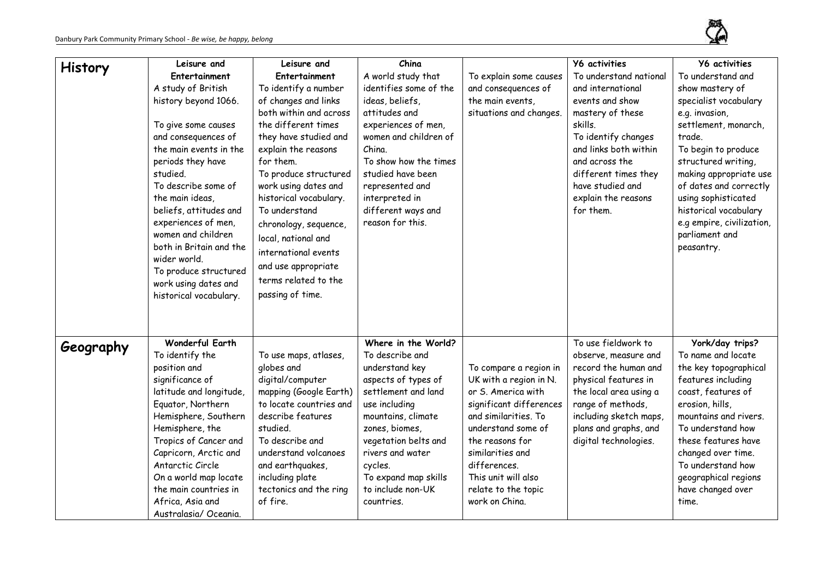

|                | Leisure and             | Leisure and             | China                  |                         | <b>Y6</b> activities   | <b>Y6</b> activities      |
|----------------|-------------------------|-------------------------|------------------------|-------------------------|------------------------|---------------------------|
| <b>History</b> | Entertainment           | Entertainment           | A world study that     | To explain some causes  | To understand national | To understand and         |
|                | A study of British      | To identify a number    | identifies some of the | and consequences of     | and international      | show mastery of           |
|                | history beyond 1066.    | of changes and links    | ideas, beliefs,        | the main events,        | events and show        | specialist vocabulary     |
|                |                         | both within and across  | attitudes and          | situations and changes. | mastery of these       | e.g. invasion,            |
|                | To give some causes     | the different times     | experiences of men,    |                         | skills.                | settlement, monarch,      |
|                | and consequences of     | they have studied and   | women and children of  |                         | To identify changes    | trade.                    |
|                | the main events in the  | explain the reasons     | China.                 |                         | and links both within  | To begin to produce       |
|                | periods they have       | for them.               | To show how the times  |                         | and across the         | structured writing,       |
|                | studied.                | To produce structured   | studied have been      |                         | different times they   | making appropriate use    |
|                | To describe some of     | work using dates and    | represented and        |                         | have studied and       | of dates and correctly    |
|                | the main ideas,         | historical vocabulary.  | interpreted in         |                         | explain the reasons    | using sophisticated       |
|                | beliefs, attitudes and  | To understand           | different ways and     |                         | for them.              | historical vocabulary     |
|                | experiences of men,     | chronology, sequence,   | reason for this.       |                         |                        | e.g empire, civilization, |
|                | women and children      | local, national and     |                        |                         |                        | parliament and            |
|                | both in Britain and the |                         |                        |                         |                        | peasantry.                |
|                | wider world.            | international events    |                        |                         |                        |                           |
|                | To produce structured   | and use appropriate     |                        |                         |                        |                           |
|                | work using dates and    | terms related to the    |                        |                         |                        |                           |
|                | historical vocabulary.  | passing of time.        |                        |                         |                        |                           |
|                |                         |                         |                        |                         |                        |                           |
|                |                         |                         |                        |                         |                        |                           |
| Geography      | <b>Wonderful Earth</b>  |                         | Where in the World?    |                         | To use fieldwork to    | York/day trips?           |
|                | To identify the         | To use maps, atlases,   | To describe and        |                         | observe, measure and   | To name and locate        |
|                | position and            | globes and              | understand key         | To compare a region in  | record the human and   | the key topographical     |
|                | significance of         | digital/computer        | aspects of types of    | UK with a region in N.  | physical features in   | features including        |
|                | latitude and longitude, | mapping (Google Earth)  | settlement and land    | or S. America with      | the local area using a | coast, features of        |
|                | Equator, Northern       | to locate countries and | use including          | significant differences | range of methods,      | erosion, hills,           |
|                | Hemisphere, Southern    | describe features       | mountains, climate     | and similarities. To    | including sketch maps, | mountains and rivers.     |
|                | Hemisphere, the         | studied.                | zones, biomes,         | understand some of      | plans and graphs, and  | To understand how         |
|                | Tropics of Cancer and   | To describe and         | vegetation belts and   | the reasons for         | digital technologies.  | these features have       |
|                | Capricorn, Arctic and   | understand volcanoes    | rivers and water       | similarities and        |                        | changed over time.        |
|                | Antarctic Circle        | and earthquakes,        | cycles.                | differences.            |                        | To understand how         |
|                | On a world map locate   | including plate         | To expand map skills   | This unit will also     |                        | geographical regions      |
|                | the main countries in   | tectonics and the ring  | to include non-UK      | relate to the topic     |                        | have changed over         |
|                | Africa, Asia and        | of fire.                | countries.             | work on China.          |                        | time.                     |
|                | Australasia/Oceania.    |                         |                        |                         |                        |                           |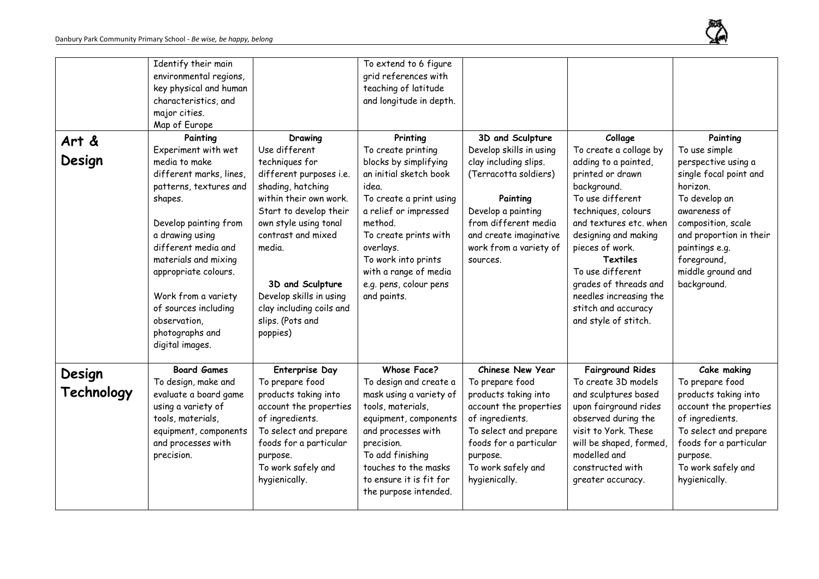

|            | Identify their main     |                          | To extend to 6 figure   |                         |                         |                         |
|------------|-------------------------|--------------------------|-------------------------|-------------------------|-------------------------|-------------------------|
|            | environmental regions,  |                          | grid references with    |                         |                         |                         |
|            | key physical and human  |                          | teaching of latitude    |                         |                         |                         |
|            | characteristics, and    |                          | and longitude in depth. |                         |                         |                         |
|            | major cities.           |                          |                         |                         |                         |                         |
|            | Map of Europe           |                          |                         |                         |                         |                         |
| Art &      | Painting                | Drawing                  | Printing                | 3D and Sculpture        | Collage                 | Painting                |
|            | Experiment with wet     | Use different            | To create printing      | Develop skills in using | To create a collage by  | To use simple           |
| Design     | media to make           | techniques for           | blocks by simplifying   | clay including slips.   | adding to a painted,    | perspective using a     |
|            | different marks, lines, | different purposes i.e.  | an initial sketch book  | (Terracotta soldiers)   | printed or drawn        | single focal point and  |
|            | patterns, textures and  | shading, hatching        | idea.                   |                         | background.             | horizon.                |
|            | shapes.                 | within their own work.   | To create a print using | Painting                | To use different        | To develop an           |
|            |                         | Start to develop their   | a relief or impressed   | Develop a painting      | techniques, colours     | awareness of            |
|            | Develop painting from   | own style using tonal    | method.                 | from different media    | and textures etc. when  | composition, scale      |
|            | a drawing using         | contrast and mixed       | To create prints with   | and create imaginative  | designing and making    | and proportion in their |
|            | different media and     | media.                   | overlays.               | work from a variety of  | pieces of work.         | paintings e.g.          |
|            | materials and mixing    |                          | To work into prints     | sources.                | <b>Textiles</b>         | foreground,             |
|            | appropriate colours.    |                          | with a range of media   |                         | To use different        | middle ground and       |
|            |                         | 3D and Sculpture         | e.g. pens, colour pens  |                         | grades of threads and   | background.             |
|            | Work from a variety     | Develop skills in using  | and paints.             |                         | needles increasing the  |                         |
|            | of sources including    | clay including coils and |                         |                         | stitch and accuracy     |                         |
|            | observation,            | slips. (Pots and         |                         |                         | and style of stitch.    |                         |
|            | photographs and         | poppies)                 |                         |                         |                         |                         |
|            | digital images.         |                          |                         |                         |                         |                         |
|            |                         |                          |                         |                         |                         |                         |
|            | <b>Board Games</b>      | Enterprise Day           | Whose Face?             | Chinese New Year        | <b>Fairground Rides</b> | Cake making             |
| Design     | To design, make and     | To prepare food          | To design and create a  | To prepare food         | To create 3D models     | To prepare food         |
| Technology | evaluate a board game   | products taking into     | mask using a variety of | products taking into    | and sculptures based    | products taking into    |
|            | using a variety of      | account the properties   | tools, materials,       | account the properties  | upon fairground rides   | account the properties  |
|            | tools, materials,       | of ingredients.          | equipment, components   | of ingredients.         | observed during the     | of ingredients.         |
|            | equipment, components   | To select and prepare    | and processes with      | To select and prepare   | visit to York. These    | To select and prepare   |
|            | and processes with      | foods for a particular   | precision.              | foods for a particular  | will be shaped, formed, | foods for a particular  |
|            | precision.              | purpose.                 | To add finishing        | purpose.                | modelled and            | purpose.                |
|            |                         | To work safely and       | touches to the masks    | To work safely and      | constructed with        | To work safely and      |
|            |                         | hygienically.            | to ensure it is fit for | hygienically.           | greater accuracy.       | hygienically.           |
|            |                         |                          | the purpose intended.   |                         |                         |                         |
|            |                         |                          |                         |                         |                         |                         |
|            |                         |                          |                         |                         |                         |                         |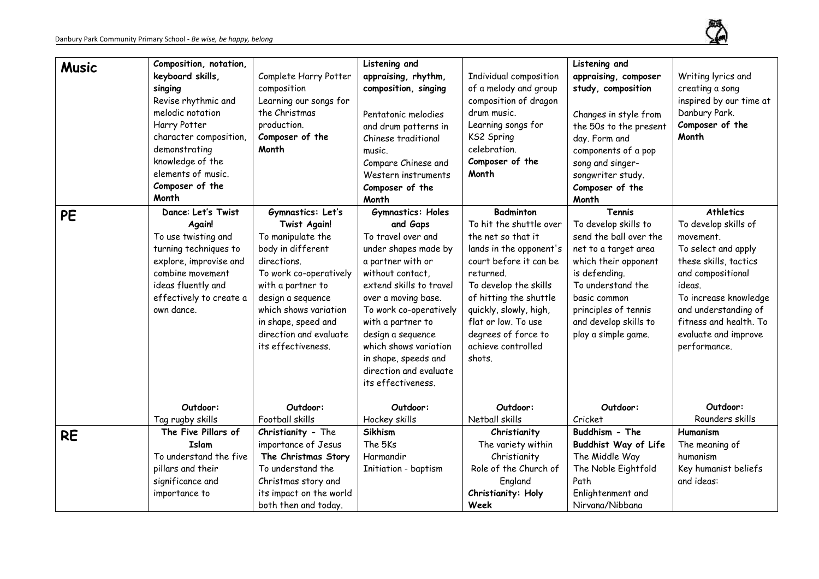

| <b>Music</b> | Composition, notation,<br>keyboard skills,<br>singing<br>Revise rhythmic and<br>melodic notation<br>Harry Potter<br>character composition,<br>demonstrating<br>knowledge of the<br>elements of music.<br>Composer of the<br>Month | Complete Harry Potter<br>composition<br>Learning our songs for<br>the Christmas<br>production.<br>Composer of the<br>Month                                                                                                                                            | Listening and<br>appraising, rhythm,<br>composition, singing<br>Pentatonic melodies<br>and drum patterns in<br>Chinese traditional<br>music.<br>Compare Chinese and<br>Western instruments<br>Composer of the<br>Month                                                                                                                             | Individual composition<br>of a melody and group<br>composition of dragon<br>drum music.<br>Learning songs for<br>KS2 Spring<br>celebration.<br>Composer of the<br>Month                                                                                                                        | Listening and<br>appraising, composer<br>study, composition<br>Changes in style from<br>the 50s to the present<br>day. Form and<br>components of a pop<br>song and singer-<br>songwriter study.<br>Composer of the<br>Month            | Writing lyrics and<br>creating a song<br>inspired by our time at<br>Danbury Park.<br>Composer of the<br>Month                                                                                                                                           |
|--------------|-----------------------------------------------------------------------------------------------------------------------------------------------------------------------------------------------------------------------------------|-----------------------------------------------------------------------------------------------------------------------------------------------------------------------------------------------------------------------------------------------------------------------|----------------------------------------------------------------------------------------------------------------------------------------------------------------------------------------------------------------------------------------------------------------------------------------------------------------------------------------------------|------------------------------------------------------------------------------------------------------------------------------------------------------------------------------------------------------------------------------------------------------------------------------------------------|----------------------------------------------------------------------------------------------------------------------------------------------------------------------------------------------------------------------------------------|---------------------------------------------------------------------------------------------------------------------------------------------------------------------------------------------------------------------------------------------------------|
| PE           | Dance: Let's Twist<br>Again!<br>To use twisting and<br>turning techniques to<br>explore, improvise and<br>combine movement<br>ideas fluently and<br>effectively to create a<br>own dance.                                         | Gymnastics: Let's<br><b>Twist Again!</b><br>To manipulate the<br>body in different<br>directions.<br>To work co-operatively<br>with a partner to<br>design a sequence<br>which shows variation<br>in shape, speed and<br>direction and evaluate<br>its effectiveness. | <b>Gymnastics: Holes</b><br>and Gaps<br>To travel over and<br>under shapes made by<br>a partner with or<br>without contact.<br>extend skills to travel<br>over a moving base.<br>To work co-operatively<br>with a partner to<br>design a sequence<br>which shows variation<br>in shape, speeds and<br>direction and evaluate<br>its effectiveness. | <b>Badminton</b><br>To hit the shuttle over<br>the net so that it<br>lands in the opponent's<br>court before it can be<br>returned.<br>To develop the skills<br>of hitting the shuttle<br>quickly, slowly, high,<br>flat or low. To use<br>degrees of force to<br>achieve controlled<br>shots. | Tennis<br>To develop skills to<br>send the ball over the<br>net to a target area<br>which their opponent<br>is defending.<br>To understand the<br>basic common<br>principles of tennis<br>and develop skills to<br>play a simple game. | <b>Athletics</b><br>To develop skills of<br>movement.<br>To select and apply<br>these skills, tactics<br>and compositional<br>ideas.<br>To increase knowledge<br>and understanding of<br>fitness and health. To<br>evaluate and improve<br>performance. |
|              | Outdoor:<br>Tag rugby skills                                                                                                                                                                                                      | Outdoor:<br>Football skills                                                                                                                                                                                                                                           | Outdoor:<br>Hockey skills                                                                                                                                                                                                                                                                                                                          | Outdoor:<br>Netball skills                                                                                                                                                                                                                                                                     | Outdoor:<br>Cricket                                                                                                                                                                                                                    | Outdoor:<br>Rounders skills                                                                                                                                                                                                                             |
| <b>RE</b>    | The Five Pillars of<br><b>Islam</b><br>To understand the five<br>pillars and their<br>significance and<br>importance to                                                                                                           | Christianity - The<br>importance of Jesus<br>The Christmas Story<br>To understand the<br>Christmas story and<br>its impact on the world                                                                                                                               | Sikhism<br>The 5Ks<br>Harmandir<br>Initiation - baptism                                                                                                                                                                                                                                                                                            | Christianity<br>The variety within<br>Christianity<br>Role of the Church of<br>England<br>Christianity: Holy                                                                                                                                                                                   | Buddhism - The<br>Buddhist Way of Life<br>The Middle Way<br>The Noble Eightfold<br>Path<br>Enlightenment and                                                                                                                           | Humanism<br>The meaning of<br>humanism<br>Key humanist beliefs<br>and ideas:                                                                                                                                                                            |
|              |                                                                                                                                                                                                                                   | both then and today.                                                                                                                                                                                                                                                  |                                                                                                                                                                                                                                                                                                                                                    | Week                                                                                                                                                                                                                                                                                           | Nirvana/Nibbana                                                                                                                                                                                                                        |                                                                                                                                                                                                                                                         |